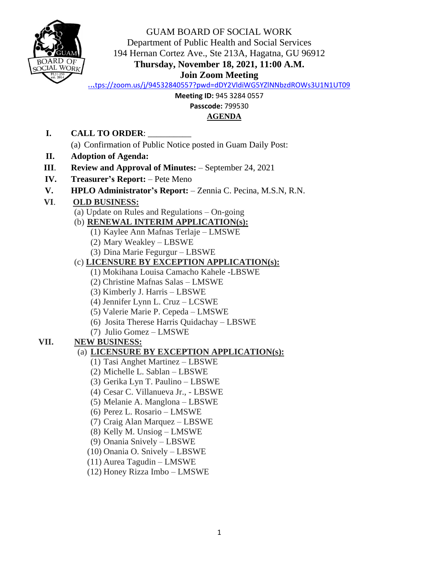

GUAM BOARD OF SOCIAL WORK Department of Public Health and Social Services 194 Hernan Cortez Ave., Ste 213A, Hagatna, GU 96912 **Thursday, November 18, 2021, 11:00 A.M. Join Zoom Meeting**

<https://zoom.us/j/94532840557?pwd=dDY2VldiWG5YZlNNbzdROWs3U1N1UT09>

**Meeting ID:** 945 3284 0557

**Passcode:** 799530

#### **AGENDA**

**I. CALL TO ORDER**: \_\_\_\_\_\_\_\_\_\_

(a) Confirmation of Public Notice posted in Guam Daily Post:

- **II. Adoption of Agenda:**
- **III**. **Review and Approval of Minutes:** September 24, 2021
- **IV. Treasurer's Report:** Pete Meno
- **V. HPLO Administrator's Report:** Zennia C. Pecina, M.S.N, R.N.

## **VI**. **OLD BUSINESS:**

- (a) Update on Rules and Regulations On-going
- (b) **RENEWAL INTERIM APPLICATION(s):** 
	- (1) Kaylee Ann Mafnas Terlaje LMSWE
	- (2) Mary Weakley LBSWE
	- (3) Dina Marie Fegurgur LBSWE

#### (c) **LICENSURE BY EXCEPTION APPLICATION(s):**

- (1) Mokihana Louisa Camacho Kahele -LBSWE
- (2) Christine Mafnas Salas LMSWE
- (3) Kimberly J. Harris LBSWE
- (4) Jennifer Lynn L. Cruz LCSWE
- (5) Valerie Marie P. Cepeda LMSWE
- (6) Josita Therese Harris Quidachay LBSWE
- (7) Julio Gomez LMSWE

## **VII. NEW BUSINESS:**

## (a) **LICENSURE BY EXCEPTION APPLICATION(s):**

- (1) Tasi Anghet Martinez LBSWE
- (2) Michelle L. Sablan LBSWE
- (3) Gerika Lyn T. Paulino LBSWE
- (4) Cesar C. Villanueva Jr., LBSWE
- (5) Melanie A. Manglona LBSWE
- (6) Perez L. Rosario LMSWE
- (7) Craig Alan Marquez LBSWE
- (8) Kelly M. Unsiog LMSWE
- (9) Onania Snively LBSWE
- (10) Onania O. Snively LBSWE
- (11) Aurea Tagudin LMSWE
- (12) Honey Rizza Imbo LMSWE